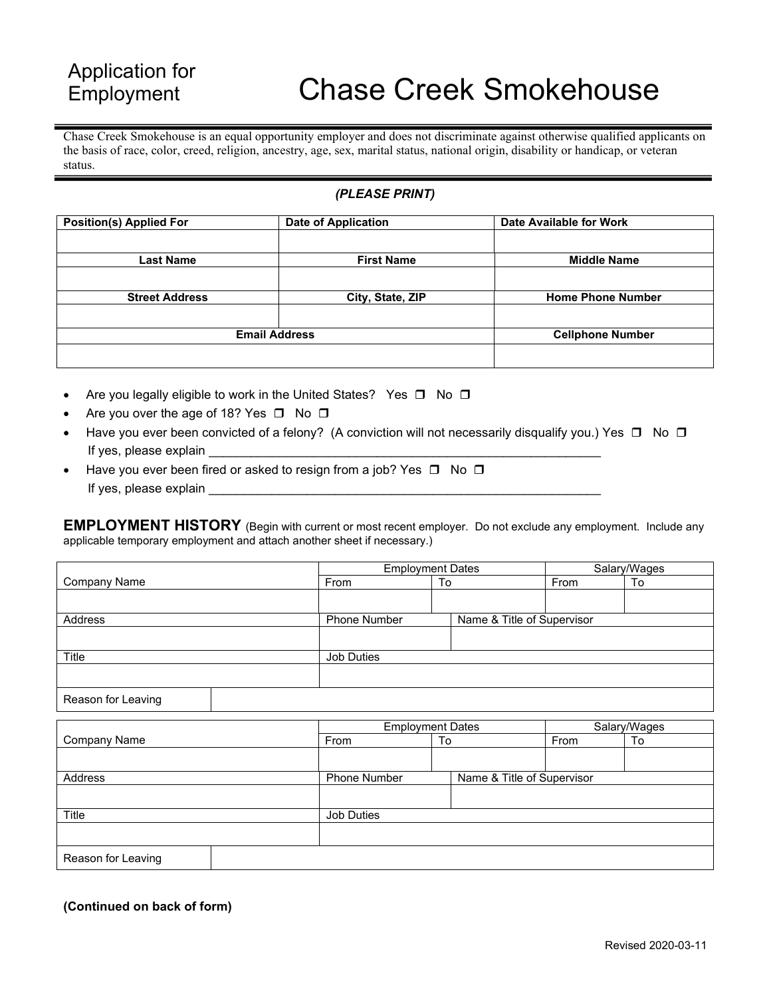## Application for Employment

## Chase Creek Smokehouse

Chase Creek Smokehouse is an equal opportunity employer and does not discriminate against otherwise qualified applicants on the basis of race, color, creed, religion, ancestry, age, sex, marital status, national origin, disability or handicap, or veteran status.

## *(PLEASE PRINT)*

| <b>Position(s) Applied For</b> | <b>Date of Application</b> | Date Available for Work  |
|--------------------------------|----------------------------|--------------------------|
|                                |                            |                          |
| Last Name                      | <b>First Name</b>          | <b>Middle Name</b>       |
|                                |                            |                          |
| <b>Street Address</b>          | City, State, ZIP           | <b>Home Phone Number</b> |
|                                |                            |                          |
| <b>Email Address</b>           |                            | <b>Cellphone Number</b>  |
|                                |                            |                          |

- Are you legally eligible to work in the United States? Yes  $\Box$  No  $\Box$
- Are you over the age of 18? Yes  $\Box$  No  $\Box$
- Have you ever been convicted of a felony? (A conviction will not necessarily disqualify you.) Yes  $\Box$  No  $\Box$ If yes, please explain
- Have you ever been fired or asked to resign from a job? Yes  $\Box$  No  $\Box$ If yes, please explain

**EMPLOYMENT HISTORY** (Begin with current or most recent employer. Do not exclude any employment. Include any applicable temporary employment and attach another sheet if necessary.)

|                     | <b>Employment Dates</b> |    | Salary/Wages               |    |
|---------------------|-------------------------|----|----------------------------|----|
| <b>Company Name</b> | From                    | То | From                       | To |
|                     |                         |    |                            |    |
| Address             | <b>Phone Number</b>     |    | Name & Title of Supervisor |    |
|                     |                         |    |                            |    |
| Title               | Job Duties              |    |                            |    |
|                     |                         |    |                            |    |
| Reason for Leaving  |                         |    |                            |    |

|                     |              | <b>Employment Dates</b>    | Salary/Wages |    |
|---------------------|--------------|----------------------------|--------------|----|
| <b>Company Name</b> | From         | To                         | From         | To |
|                     |              |                            |              |    |
| Address             | Phone Number | Name & Title of Supervisor |              |    |
|                     |              |                            |              |    |
| Title               | Job Duties   |                            |              |    |
|                     |              |                            |              |    |
| Reason for Leaving  |              |                            |              |    |

**(Continued on back of form)**